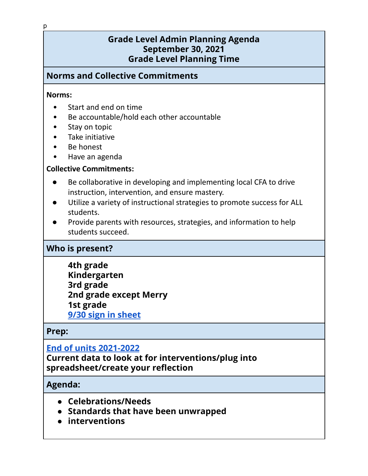# **Grade Level Admin Planning Agenda September 30, 2021 Grade Level Planning Time**

# **Norms and Collective Commitments**

#### **Norms:**

- Start and end on time
- Be accountable/hold each other accountable
- Stay on topic
- Take initiative
- Be honest
- Have an agenda

#### **Collective Commitments:**

- Be collaborative in developing and implementing local CFA to drive instruction, intervention, and ensure mastery.
- Utilize a variety of instructional strategies to promote success for ALL students.
- Provide parents with resources, strategies, and information to help students succeed.

## **Who is present?**

**4th grade Kindergarten 3rd grade 2nd grade except Merry 1st grade 9/30 sign in [sheet](https://drive.google.com/file/d/1Albfw32-bBrtIAi1VIcPV2YnPxrRg9Eg/view?usp=sharing)**

## **Prep:**

## **End of units [2021-2022](https://docs.google.com/spreadsheets/u/0/d/11dn5jz1YLVlZHWf2F_bhD8RvVs55AFYME2lv_wQUHKE/edit)**

**Current data to look at for interventions/plug into spreadsheet/create your reflection**

## **Agenda:**

- **● Celebrations/Needs**
- **● Standards that have been unwrapped**
- **● interventions**

p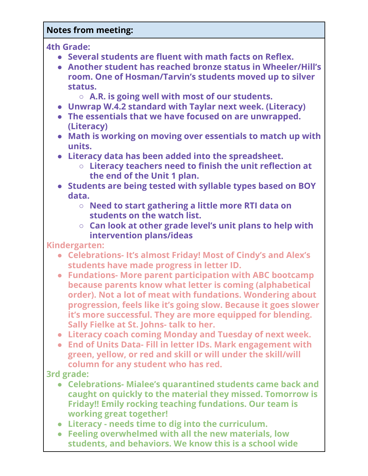# **Notes from meeting:**

**4th Grade:**

- **● Several students are fluent with math facts on Reflex.**
- **● Another student has reached bronze status in Wheeler/Hill's room. One of Hosman/Tarvin's students moved up to silver status.**
	- **○ A.R. is going well with most of our students.**
- **● Unwrap W.4.2 standard with Taylar next week. (Literacy)**
- **● The essentials that we have focused on are unwrapped. (Literacy)**
- **● Math is working on moving over essentials to match up with units.**
- **● Literacy data has been added into the spreadsheet.**
	- **○ Literacy teachers need to finish the unit reflection at the end of the Unit 1 plan.**
- **● Students are being tested with syllable types based on BOY data.**
	- **○ Need to start gathering a little more RTI data on students on the watch list.**
	- **○ Can look at other grade level's unit plans to help with intervention plans/ideas**

**Kindergarten:**

- **● Celebrations- It's almost Friday! Most of Cindy's and Alex's students have made progress in letter ID.**
- **● Fundations- More parent participation with ABC bootcamp because parents know what letter is coming (alphabetical order). Not a lot of meat with fundations. Wondering about progression, feels like it's going slow. Because it goes slower it's more successful. They are more equipped for blending. Sally Fielke at St. Johns- talk to her.**
- **● Literacy coach coming Monday and Tuesday of next week.**
- **● End of Units Data- Fill in letter IDs. Mark engagement with green, yellow, or red and skill or will under the skill/will column for any student who has red.**

**3rd grade:**

- **● Celebrations- Mialee's quarantined students came back and caught on quickly to the material they missed. Tomorrow is Friday!! Emily rocking teaching fundations. Our team is working great together!**
- **● Literacy - needs time to dig into the curriculum.**
- **● Feeling overwhelmed with all the new materials, low students, and behaviors. We know this is a school wide**